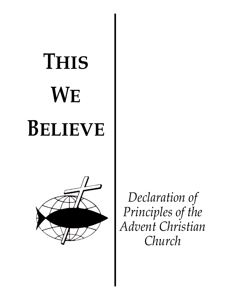# **THIS WE BELIEVE**



*Declaration of Principles of the Advent Christian Church*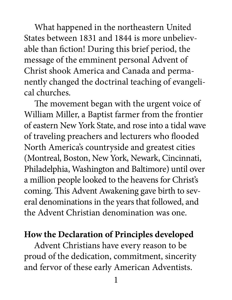What happened in the northeastern United States between 1831 and 1844 is more unbelievable than fiction! During this brief period, the message of the emminent personal Advent of Christ shook America and Canada and permanently changed the doctrinal teaching of evangelical churches.

 The movement began with the urgent voice of William Miller, a Baptist farmer from the frontier of eastern New York State, and rose into a tidal wave of traveling preachers and lecturers who flooded North America's countryside and greatest cities (Montreal, Boston, New York, Newark, Cincinnati, Philadelphia, Washington and Baltimore) until over a million people looked to the heavens for Christ's coming. This Advent Awakening gave birth to several denominations in the years that followed, and the Advent Christian denomination was one.

#### **How the Declaration of Principles developed**

Advent Christians have every reason to be proud of the dedication, commitment, sincerity and fervor of these early American Adventists.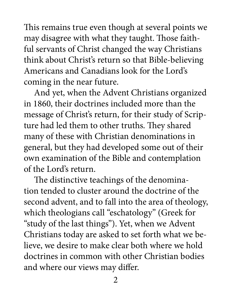This remains true even though at several points we may disagree with what they taught. Those faithful servants of Christ changed the way Christians think about Christ's return so that Bible-believing Americans and Canadians look for the Lord's coming in the near future.

 And yet, when the Advent Christians organized in 1860, their doctrines included more than the message of Christ's return, for their study of Scripture had led them to other truths. They shared many of these with Christian denominations in general, but they had developed some out of their own examination of the Bible and contemplation of the Lord's return.

 The distinctive teachings of the denomination tended to cluster around the doctrine of the second advent, and to fall into the area of theology, which theologians call "eschatology" (Greek for "study of the last things"). Yet, when we Advent Christians today are asked to set forth what we believe, we desire to make clear both where we hold doctrines in common with other Christian bodies and where our views may differ.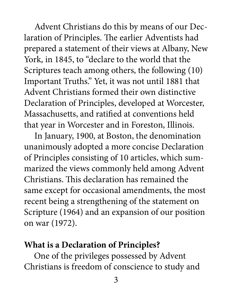Advent Christians do this by means of our Declaration of Principles. The earlier Adventists had prepared a statement of their views at Albany, New York, in 1845, to "declare to the world that the Scriptures teach among others, the following (10) Important Truths." Yet, it was not until 1881 that Advent Christians formed their own distinctive Declaration of Principles, developed at Worcester, Massachusetts, and ratified at conventions held that year in Worcester and in Foreston, Illinois.

 In January, 1900, at Boston, the denomination unanimously adopted a more concise Declaration of Principles consisting of 10 articles, which summarized the views commonly held among Advent Christians. This declaration has remained the same except for occasional amendments, the most recent being a strengthening of the statement on Scripture (1964) and an expansion of our position on war (1972).

#### **What is a Declaration of Principles?**

One of the privileges possessed by Advent Christians is freedom of conscience to study and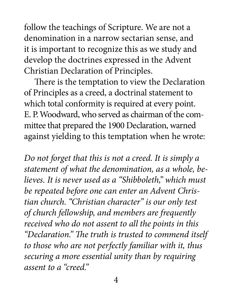follow the teachings of Scripture. We are not a denomination in a narrow sectarian sense, and it is important to recognize this as we study and develop the doctrines expressed in the Advent Christian Declaration of Principles.

 There is the temptation to view the Declaration of Principles as a creed, a doctrinal statement to which total conformity is required at every point. E. P. Woodward, who served as chairman of the committee that prepared the 1900 Declaration, warned against yielding to this temptation when he wrote:

*Do not forget that this is not a creed. It is simply a statement of what the denomination, as a whole, believes. It is never used as a "Shibboleth," which must be repeated before one can enter an Advent Christian church. "Christian character" is our only test of church fellowship, and members are frequently received who do not assent to all the points in this "Declaration." The truth is trusted to commend itself to those who are not perfectly familiar with it, thus securing a more essential unity than by requiring assent to a "creed."*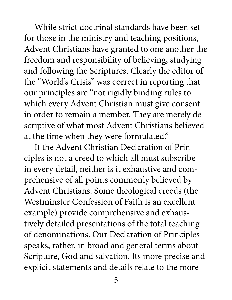While strict doctrinal standards have been set for those in the ministry and teaching positions, Advent Christians have granted to one another the freedom and responsibility of believing, studying and following the Scriptures. Clearly the editor of the "World's Crisis" was correct in reporting that our principles are "not rigidly binding rules to which every Advent Christian must give consent in order to remain a member. They are merely descriptive of what most Advent Christians believed at the time when they were formulated."

 If the Advent Christian Declaration of Principles is not a creed to which all must subscribe in every detail, neither is it exhaustive and comprehensive of all points commonly believed by Advent Christians. Some theological creeds (the Westminster Confession of Faith is an excellent example) provide comprehensive and exhaustively detailed presentations of the total teaching of denominations. Our Declaration of Principles speaks, rather, in broad and general terms about Scripture, God and salvation. Its more precise and explicit statements and details relate to the more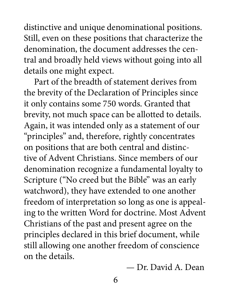distinctive and unique denominational positions. Still, even on these positions that characterize the denomination, the document addresses the central and broadly held views without going into all details one might expect.

 Part of the breadth of statement derives from the brevity of the Declaration of Principles since it only contains some 750 words. Granted that brevity, not much space can be allotted to details. Again, it was intended only as a statement of our "principles" and, therefore, rightly concentrates on positions that are both central and distinctive of Advent Christians. Since members of our denomination recognize a fundamental loyalty to Scripture ("No creed but the Bible" was an early watchword), they have extended to one another freedom of interpretation so long as one is appealing to the written Word for doctrine. Most Advent Christians of the past and present agree on the principles declared in this brief document, while still allowing one another freedom of conscience on the details.

— Dr. David A. Dean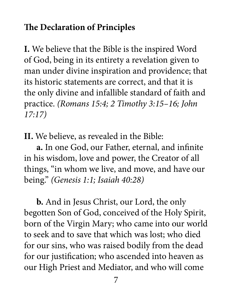### **The Declaration of Principles**

**I.** We believe that the Bible is the inspired Word of God, being in its entirety a revelation given to man under divine inspiration and providence; that its historic statements are correct, and that it is the only divine and infallible standard of faith and practice. *(Romans 15:4; 2 Timothy 3:15–16; John 17:17)*

**II.** We believe, as revealed in the Bible:

 **a.** In one God, our Father, eternal, and infinite in his wisdom, love and power, the Creator of all things, "in whom we live, and move, and have our being." *(Genesis 1:1; Isaiah 40:28)*

 **b.** And in Jesus Christ, our Lord, the only begotten Son of God, conceived of the Holy Spirit, born of the Virgin Mary; who came into our world to seek and to save that which was lost; who died for our sins, who was raised bodily from the dead for our justification; who ascended into heaven as our High Priest and Mediator, and who will come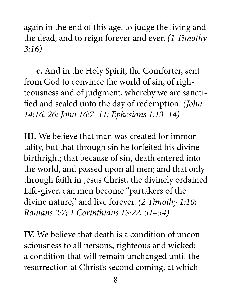again in the end of this age, to judge the living and the dead, and to reign forever and ever. *(1 Timothy 3:16)*

 **c.** And in the Holy Spirit, the Comforter, sent from God to convince the world of sin, of righteousness and of judgment, whereby we are sanctified and sealed unto the day of redemption. *(John 14:16, 26; John 16:7–11; Ephesians 1:13–14)*

**III.** We believe that man was created for immortality, but that through sin he forfeited his divine birthright; that because of sin, death entered into the world, and passed upon all men; and that only through faith in Jesus Christ, the divinely ordained Life-giver, can men become "partakers of the divine nature," and live forever. *(2 Timothy 1:10; Romans 2:7; 1 Corinthians 15:22, 51–54)*

**IV.** We believe that death is a condition of unconsciousness to all persons, righteous and wicked; a condition that will remain unchanged until the resurrection at Christ's second coming, at which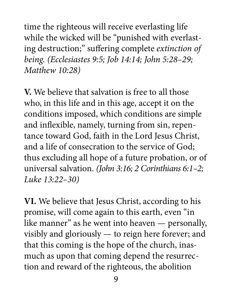time the righteous will receive everlasting life while the wicked will be "punished with everlasting destruction;" suffering complete *extinction of being. (Ecclesiastes 9:5; Job 14:14; John 5:28–29; Matthew 10:28)*

**V.** We believe that salvation is free to all those who, in this life and in this age, accept it on the conditions imposed, which conditions are simple and inflexible, namely, turning from sin, repentance toward God, faith in the Lord Jesus Christ, and a life of consecration to the service of God; thus excluding all hope of a future probation, or of universal salvation. *(John 3:16; 2 Corinthians 6:1–2; Luke 13:22–30)*

**VI.** We believe that Jesus Christ, according to his promise, will come again to this earth, even "in like manner" as he went into heaven — personally, visibly and gloriously — to reign here forever; and that this coming is the hope of the church, inasmuch as upon that coming depend the resurrection and reward of the righteous, the abolition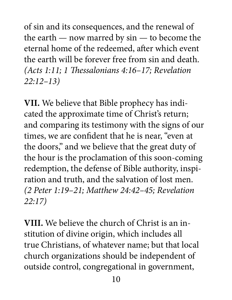of sin and its consequences, and the renewal of the earth — now marred by sin — to become the eternal home of the redeemed, after which event the earth will be forever free from sin and death. *(Acts 1:11; 1 Thessalonians 4:16–17; Revelation 22:12–13)*

**VII.** We believe that Bible prophecy has indicated the approximate time of Christ's return; and comparing its testimony with the signs of our times, we are confident that he is near, "even at the doors," and we believe that the great duty of the hour is the proclamation of this soon-coming redemption, the defense of Bible authority, inspiration and truth, and the salvation of lost men. *(2 Peter 1:19–21; Matthew 24:42–45; Revelation 22:17)*

**VIII.** We believe the church of Christ is an institution of divine origin, which includes all true Christians, of whatever name; but that local church organizations should be independent of outside control, congregational in government,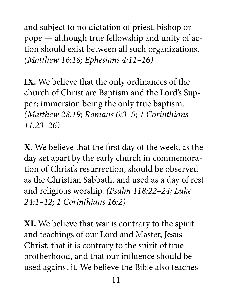and subject to no dictation of priest, bishop or pope — although true fellowship and unity of action should exist between all such organizations. *(Matthew 16:18; Ephesians 4:11–16)*

**IX.** We believe that the only ordinances of the church of Christ are Baptism and the Lord's Supper; immersion being the only true baptism. *(Matthew 28:19; Romans 6:3–5; 1 Corinthians 11:23–26)*

**X.** We believe that the first day of the week, as the day set apart by the early church in commemoration of Christ's resurrection, should be observed as the Christian Sabbath, and used as a day of rest and religious worship. *(Psalm 118:22–24; Luke 24:1–12; 1 Corinthians 16:2)*

**XI.** We believe that war is contrary to the spirit and teachings of our Lord and Master, Jesus Christ; that it is contrary to the spirit of true brotherhood, and that our influence should be used against it. We believe the Bible also teaches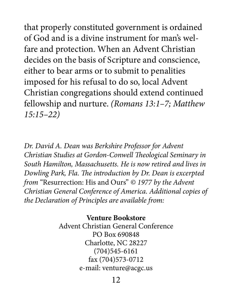that properly constituted government is ordained of God and is a divine instrument for man's welfare and protection. When an Advent Christian decides on the basis of Scripture and conscience, either to bear arms or to submit to penalities imposed for his refusal to do so, local Advent Christian congregations should extend continued fellowship and nurture. *(Romans 13:1–7; Matthew 15:15–22)*

*Dr. David A. Dean was Berkshire Professor for Advent Christian Studies at Gordon-Conwell Theological Seminary in South Hamilton, Massachusetts. He is now retired and lives in Dowling Park, Fla. The introduction by Dr. Dean is excerpted from* "Resurrection: His and Ours" *© 1977 by the Advent Christian General Conference of America. Additional copies of the Declaration of Principles are available from:*

> **Venture Bookstore** Advent Christian General Conference PO Box 690848 Charlotte, NC 28227 (704)545-6161 fax (704)573-0712 e-mail: venture@acgc.us